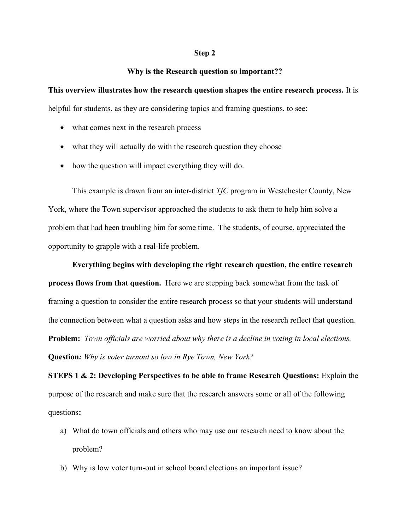#### Step 2

## Why is the Research question so important??

## This overview illustrates how the research question shapes the entire research process. It is

helpful for students, as they are considering topics and framing questions, to see:

- what comes next in the research process
- what they will actually do with the research question they choose
- how the question will impact everything they will do.

This example is drawn from an inter-district TfC program in Westchester County, New York, where the Town supervisor approached the students to ask them to help him solve a problem that had been troubling him for some time. The students, of course, appreciated the opportunity to grapple with a real-life problem.

Everything begins with developing the right research question, the entire research process flows from that question. Here we are stepping back somewhat from the task of framing a question to consider the entire research process so that your students will understand the connection between what a question asks and how steps in the research reflect that question. **Problem:** Town officials are worried about why there is a decline in voting in local elections. Question: Why is voter turnout so low in Rye Town, New York?

STEPS 1 & 2: Developing Perspectives to be able to frame Research Questions: Explain the purpose of the research and make sure that the research answers some or all of the following questions:

- a) What do town officials and others who may use our research need to know about the problem?
- b) Why is low voter turn-out in school board elections an important issue?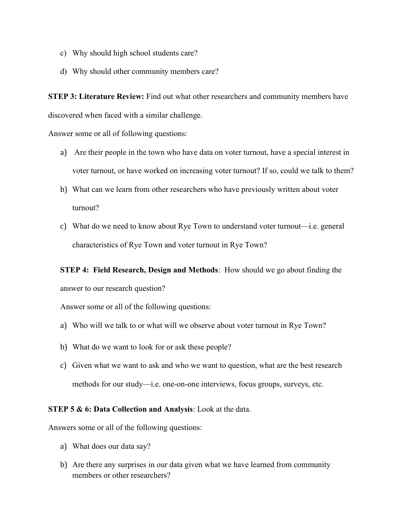- c) Why should high school students care?
- d) Why should other community members care?

STEP 3: Literature Review: Find out what other researchers and community members have discovered when faced with a similar challenge.

Answer some or all of following questions:

- a) Are their people in the town who have data on voter turnout, have a special interest in voter turnout, or have worked on increasing voter turnout? If so, could we talk to them?
- b) What can we learn from other researchers who have previously written about voter turnout?
- c) What do we need to know about Rye Town to understand voter turnout—i.e. general characteristics of Rye Town and voter turnout in Rye Town?

# STEP 4: Field Research, Design and Methods: How should we go about finding the

answer to our research question?

Answer some or all of the following questions:

- a) Who will we talk to or what will we observe about voter turnout in Rye Town?
- b) What do we want to look for or ask these people?
- c) Given what we want to ask and who we want to question, what are the best research methods for our study—i.e. one-on-one interviews, focus groups, surveys, etc.

## STEP 5 & 6: Data Collection and Analysis: Look at the data.

Answers some or all of the following questions:

- a) What does our data say?
- b) Are there any surprises in our data given what we have learned from community members or other researchers?